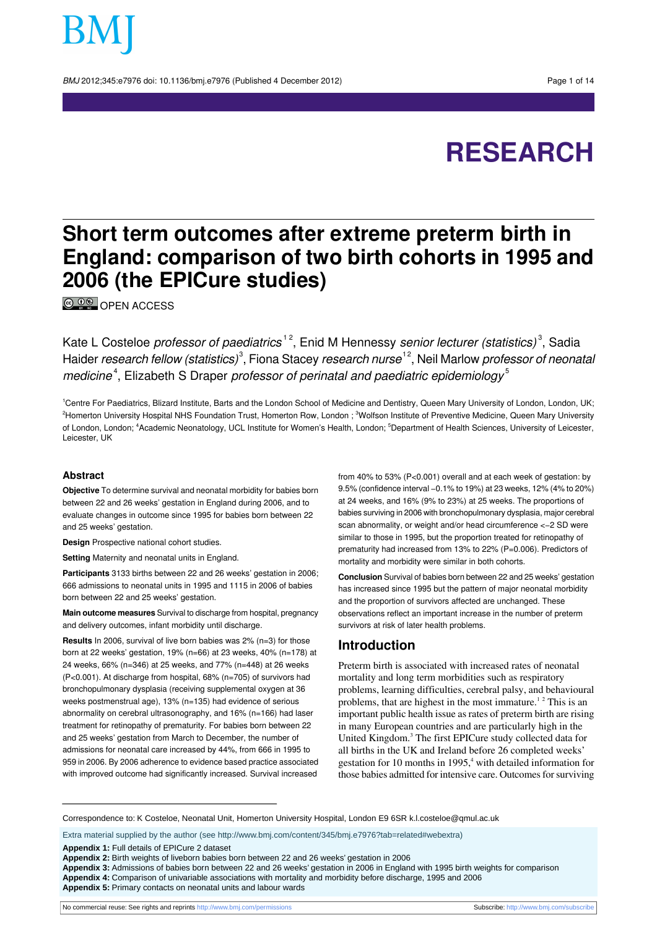BMJ 2012:345:e7976 doi: 10.1136/bmi.e7976 (Published 4 December 2012) Page 1 of 14

# **RESEARCH**

# **Short term outcomes after extreme preterm birth in England: comparison of two birth cohorts in 1995 and 2006 (the EPICure studies)**

**C**  $\frac{1}{2}$  OPEN ACCESS

Kate L Costeloe *professor of paediatrics* <sup>12</sup>, Enid M Hennessy *senior lecturer (statistics)*  $^3$ , Sadia Haider *research fellow (statistics)<sup>3</sup>,* Fiona Stacey *research nurse<sup>12</sup>,* Neil Marlow *professor of neonata* medicine<sup>4</sup>, Elizabeth S Draper professor of perinatal and paediatric epidemiology<sup>5</sup>

<sup>1</sup>Centre For Paediatrics, Blizard Institute, Barts and the London School of Medicine and Dentistry, Queen Mary University of London, London, UK; <sup>2</sup>Homerton University Hospital NHS Foundation Trust, Homerton Row, London ; <sup>3</sup>Wolfson Institute of Preventive Medicine, Queen Mary University of London, London; <sup>4</sup>Academic Neonatology, UCL Institute for Women's Health, London; <sup>5</sup>Department of Health Sciences, University of Leicester, Leicester, UK

#### **Abstract**

**Objective** To determine survival and neonatal morbidity for babies born between 22 and 26 weeks' gestation in England during 2006, and to evaluate changes in outcome since 1995 for babies born between 22 and 25 weeks' gestation.

**Design** Prospective national cohort studies.

**Setting** Maternity and neonatal units in England.

**Participants** 3133 births between 22 and 26 weeks' gestation in 2006; 666 admissions to neonatal units in 1995 and 1115 in 2006 of babies born between 22 and 25 weeks' gestation.

**Main outcome measures** Survival to discharge from hospital, pregnancy and delivery outcomes, infant morbidity until discharge.

**Results** In 2006, survival of live born babies was 2% (n=3) for those born at 22 weeks' gestation, 19% (n=66) at 23 weeks, 40% (n=178) at 24 weeks, 66% (n=346) at 25 weeks, and 77% (n=448) at 26 weeks (P<0.001). At discharge from hospital, 68% (n=705) of survivors had bronchopulmonary dysplasia (receiving supplemental oxygen at 36 weeks postmenstrual age), 13% (n=135) had evidence of serious abnormality on cerebral ultrasonography, and 16% (n=166) had laser treatment for retinopathy of prematurity. For babies born between 22 and 25 weeks' gestation from March to December, the number of admissions for neonatal care increased by 44%, from 666 in 1995 to 959 in 2006. By 2006 adherence to evidence based practice associated with improved outcome had significantly increased. Survival increased

from 40% to 53% (P<0.001) overall and at each week of gestation: by 9.5% (confidence interval −0.1% to 19%) at 23 weeks, 12% (4% to 20%) at 24 weeks, and 16% (9% to 23%) at 25 weeks. The proportions of babies surviving in 2006 with bronchopulmonary dysplasia, major cerebral scan abnormality, or weight and/or head circumference <−2 SD were similar to those in 1995, but the proportion treated for retinopathy of prematurity had increased from 13% to 22% (P=0.006). Predictors of mortality and morbidity were similar in both cohorts.

**Conclusion** Survival of babies born between 22 and 25 weeks' gestation has increased since 1995 but the pattern of major neonatal morbidity and the proportion of survivors affected are unchanged. These observations reflect an important increase in the number of preterm survivors at risk of later health problems.

#### **Introduction**

Preterm birth is associated with increased rates of neonatal mortality and long term morbidities such as respiratory problems, learning difficulties, cerebral palsy, and behavioural problems, that are highest in the most immature.<sup>12</sup> This is an important public health issue as rates of preterm birth are rising in many European countries and are particularly high in the United Kingdom.<sup>3</sup> The first EPICure study collected data for all births in the UK and Ireland before 26 completed weeks' gestation for 10 months in  $1995<sup>4</sup>$  with detailed information for those babies admitted for intensive care. Outcomes for surviving

Correspondence to: K Costeloe, Neonatal Unit, Homerton University Hospital, London E9 6SR k.l.costeloe@qmul.ac.uk

**Appendix 1:** Full details of EPICure 2 dataset

**Appendix 4:** Comparison of univariable associations with mortality and morbidity before discharge, 1995 and 2006

**Appendix 5:** Primary contacts on neonatal units and labour wards

Extra material supplied by the author (see [http://www.bmj.com/content/345/bmj.e7976?tab=related#webextra\)](http://www.bmj.com/content/345/bmj.e7976?tab=related#webextra)

**Appendix 2:** Birth weights of liveborn babies born between 22 and 26 weeks' gestation in 2006

**Appendix 3:** Admissions of babies born between 22 and 26 weeks' gestation in 2006 in England with 1995 birth weights for comparison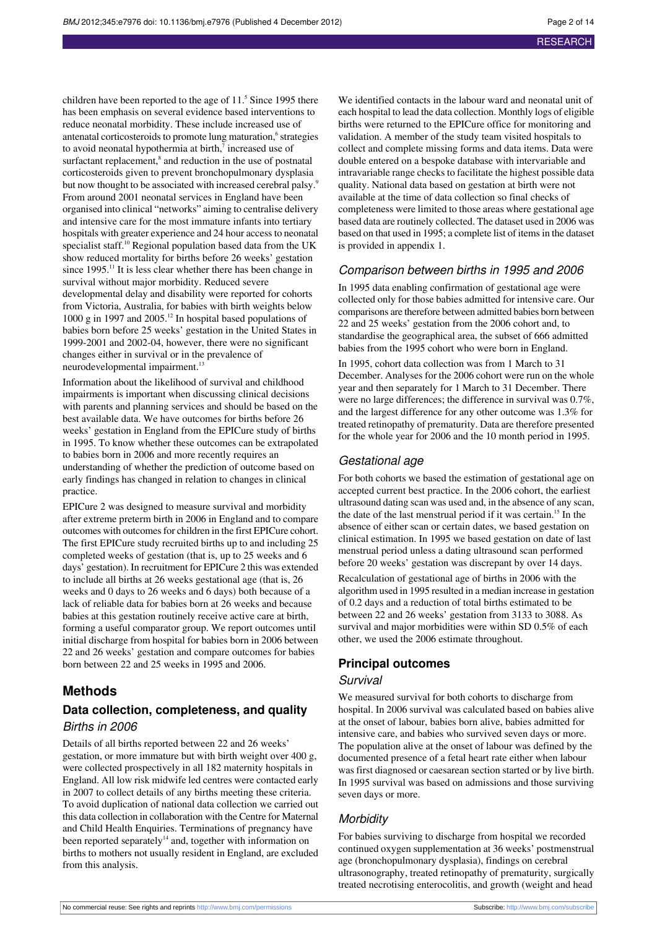children have been reported to the age of  $11<sup>5</sup>$  Since 1995 there has been emphasis on several evidence based interventions to reduce neonatal morbidity. These include increased use of antenatal corticosteroids to promote lung maturation, <sup>6</sup> strategies to avoid neonatal hypothermia at birth,<sup>7</sup> increased use of surfactant replacement,<sup>8</sup> and reduction in the use of postnatal corticosteroids given to prevent bronchopulmonary dysplasia but now thought to be associated with increased cerebral palsy.<sup>9</sup> From around 2001 neonatal services in England have been organised into clinical "networks" aiming to centralise delivery and intensive care for the most immature infants into tertiary hospitals with greater experience and 24 hour access to neonatal specialist staff.<sup>10</sup> Regional population based data from the UK show reduced mortality for births before 26 weeks' gestation since 1995.<sup>11</sup> It is less clear whether there has been change in survival without major morbidity. Reduced severe developmental delay and disability were reported for cohorts from Victoria, Australia, for babies with birth weights below 1000 g in 1997 and 2005.<sup>12</sup> In hospital based populations of babies born before 25 weeks' gestation in the United States in 1999-2001 and 2002-04, however, there were no significant changes either in survival or in the prevalence of neurodevelopmental impairment.<sup>13</sup>

Information about the likelihood of survival and childhood impairments is important when discussing clinical decisions with parents and planning services and should be based on the best available data. We have outcomes for births before 26 weeks' gestation in England from the EPICure study of births in 1995. To know whether these outcomes can be extrapolated to babies born in 2006 and more recently requires an understanding of whether the prediction of outcome based on early findings has changed in relation to changes in clinical practice.

EPICure 2 was designed to measure survival and morbidity after extreme preterm birth in 2006 in England and to compare outcomes with outcomes for children in the first EPICure cohort. The first EPICure study recruited births up to and including 25 completed weeks of gestation (that is, up to 25 weeks and 6 days' gestation). In recruitment for EPICure 2 this was extended to include all births at 26 weeks gestational age (that is, 26 weeks and 0 days to 26 weeks and 6 days) both because of a lack of reliable data for babies born at 26 weeks and because babies at this gestation routinely receive active care at birth, forming a useful comparator group. We report outcomes until initial discharge from hospital for babies born in 2006 between 22 and 26 weeks' gestation and compare outcomes for babies born between 22 and 25 weeks in 1995 and 2006.

### **Methods**

### **Data collection, completeness, and quality**

#### Births in 2006

Details of all births reported between 22 and 26 weeks' gestation, or more immature but with birth weight over 400 g, were collected prospectively in all 182 maternity hospitals in England. All low risk midwife led centres were contacted early in 2007 to collect details of any births meeting these criteria. To avoid duplication of national data collection we carried out this data collection in collaboration with the Centre for Maternal and Child Health Enquiries. Terminations of pregnancy have been reported separately<sup>14</sup> and, together with information on births to mothers not usually resident in England, are excluded from this analysis.

We identified contacts in the labour ward and neonatal unit of each hospital to lead the data collection. Monthly logs of eligible births were returned to the EPICure office for monitoring and validation. A member of the study team visited hospitals to collect and complete missing forms and data items. Data were double entered on a bespoke database with intervariable and intravariable range checks to facilitate the highest possible data quality. National data based on gestation at birth were not available at the time of data collection so final checks of completeness were limited to those areas where gestational age based data are routinely collected. The dataset used in 2006 was based on that used in 1995; a complete list of itemsin the dataset is provided in appendix 1.

#### Comparison between births in 1995 and 2006

In 1995 data enabling confirmation of gestational age were collected only for those babies admitted for intensive care. Our comparisons are therefore between admitted babies born between 22 and 25 weeks' gestation from the 2006 cohort and, to standardise the geographical area, the subset of 666 admitted babies from the 1995 cohort who were born in England.

In 1995, cohort data collection was from 1 March to 31 December. Analyses for the 2006 cohort were run on the whole year and then separately for 1 March to 31 December. There were no large differences; the difference in survival was 0.7%, and the largest difference for any other outcome was 1.3% for treated retinopathy of prematurity. Data are therefore presented for the whole year for 2006 and the 10 month period in 1995.

#### Gestational age

For both cohorts we based the estimation of gestational age on accepted current best practice. In the 2006 cohort, the earliest ultrasound dating scan was used and, in the absence of any scan, the date of the last menstrual period if it was certain.<sup>15</sup> In the absence of either scan or certain dates, we based gestation on clinical estimation. In 1995 we based gestation on date of last menstrual period unless a dating ultrasound scan performed before 20 weeks' gestation was discrepant by over 14 days.

Recalculation of gestational age of births in 2006 with the algorithm used in 1995 resulted in a median increase in gestation of 0.2 days and a reduction of total births estimated to be between 22 and 26 weeks' gestation from 3133 to 3088. As survival and major morbidities were within SD 0.5% of each other, we used the 2006 estimate throughout.

#### **Principal outcomes**

#### **Survival**

We measured survival for both cohorts to discharge from hospital. In 2006 survival was calculated based on babies alive at the onset of labour, babies born alive, babies admitted for intensive care, and babies who survived seven days or more. The population alive at the onset of labour was defined by the documented presence of a fetal heart rate either when labour was first diagnosed or caesarean section started or by live birth. In 1995 survival was based on admissions and those surviving seven days or more.

#### **Morbidity**

For babies surviving to discharge from hospital we recorded continued oxygen supplementation at 36 weeks' postmenstrual age (bronchopulmonary dysplasia), findings on cerebral ultrasonography, treated retinopathy of prematurity, surgically treated necrotising enterocolitis, and growth (weight and head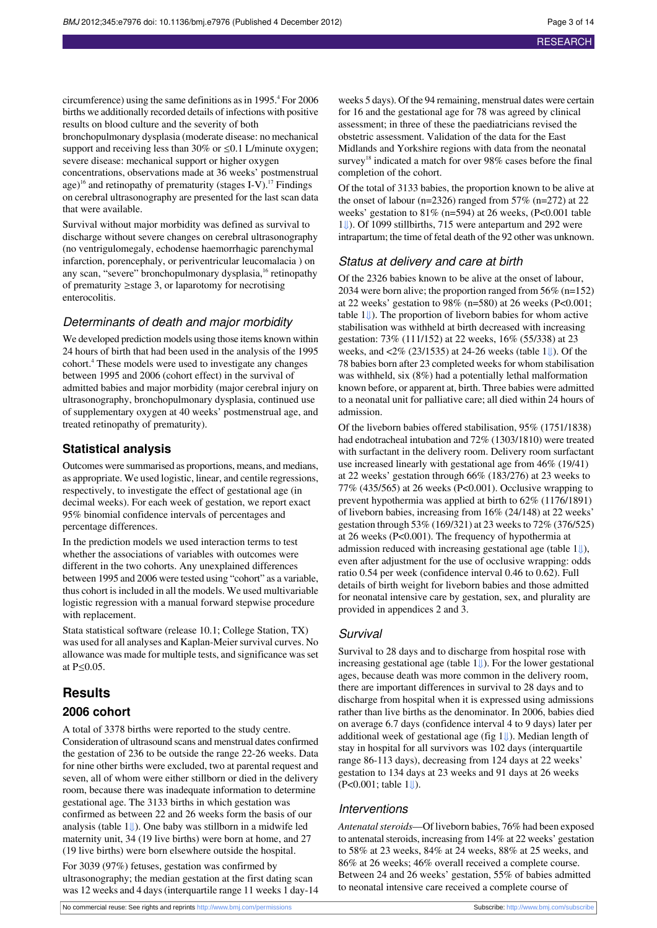circumference) using the same definitions as in 1995.<sup>4</sup> For 2006 births we additionally recorded details of infections with positive results on blood culture and the severity of both

bronchopulmonary dysplasia (moderate disease: no mechanical support and receiving less than 30% or  $\leq 0.1$  L/minute oxygen; severe disease: mechanical support or higher oxygen concentrations, observations made at 36 weeks' postmenstrual age)<sup>16</sup> and retinopathy of prematurity (stages I-V).<sup>17</sup> Findings on cerebral ultrasonography are presented for the last scan data that were available.

Survival without major morbidity was defined as survival to discharge without severe changes on cerebral ultrasonography (no ventrigulomegaly, echodense haemorrhagic parenchymal infarction, porencephaly, or periventricular leucomalacia ) on any scan, "severe" bronchopulmonary dysplasia,<sup>16</sup> retinopathy of prematurity ≥stage 3, or laparotomy for necrotising enterocolitis.

#### Determinants of death and major morbidity

We developed prediction models using those items known within 24 hours of birth that had been used in the analysis of the 1995 cohort.<sup>4</sup> These models were used to investigate any changes between 1995 and 2006 (cohort effect) in the survival of admitted babies and major morbidity (major cerebral injury on ultrasonography, bronchopulmonary dysplasia, continued use of supplementary oxygen at 40 weeks' postmenstrual age, and treated retinopathy of prematurity).

#### **Statistical analysis**

Outcomes were summarised as proportions, means, and medians, as appropriate. We used logistic, linear, and centile regressions, respectively, to investigate the effect of gestational age (in decimal weeks). For each week of gestation, we report exact 95% binomial confidence intervals of percentages and percentage differences.

In the prediction models we used interaction terms to test whether the associations of variables with outcomes were different in the two cohorts. Any unexplained differences between 1995 and 2006 were tested using "cohort" as a variable, thus cohort is included in all the models. We used multivariable logistic regression with a manual forward stepwise procedure with replacement.

Stata statistical software (release 10.1; College Station, TX) was used for all analyses and Kaplan-Meier survival curves. No allowance was made for multiple tests, and significance wasset at P≤0.05.

# **Results**

### **2006 cohort**

A total of 3378 births were reported to the study centre. Consideration of ultrasound scans and menstrual dates confirmed the gestation of 236 to be outside the range 22-26 weeks. Data for nine other births were excluded, two at parental request and seven, all of whom were either stillborn or died in the delivery room, because there was inadequate information to determine gestational age. The 3133 births in which gestation was confirmed as between 22 and 26 weeks form the basis of our analysis (table [1⇓](#page-7-0)). One baby was stillborn in a midwife led maternity unit, 34 (19 live births) were born at home, and 27 (19 live births) were born elsewhere outside the hospital.

For 3039 (97%) fetuses, gestation was confirmed by ultrasonography; the median gestation at the first dating scan was 12 weeks and 4 days(interquartile range 11 weeks 1 day-14

No commercial reuse: See rights and reprints <http://www.bmj.com/permissions> Subscribe: <http://www.bmj.com/subscribe>

weeks 5 days). Of the 94 remaining, menstrual dates were certain for 16 and the gestational age for 78 was agreed by clinical assessment; in three of these the paediatricians revised the obstetric assessment. Validation of the data for the East Midlands and Yorkshire regions with data from the neonatal survey<sup>18</sup> indicated a match for over 98% cases before the final completion of the cohort.

Of the total of 3133 babies, the proportion known to be alive at the onset of labour (n=2326) ranged from  $57\%$  (n=272) at 22 weeks' gestation to 81% (n=594) at 26 weeks, (P<0.001 table [1⇓](#page-7-0)). Of 1099 stillbirths, 715 were antepartum and 292 were intrapartum; the time of fetal death of the 92 other was unknown.

#### Status at delivery and care at birth

Of the 2326 babies known to be alive at the onset of labour, 2034 were born alive; the proportion ranged from 56% (n=152) at 22 weeks' gestation to 98% (n=580) at 26 weeks (P<0.001; table 1[⇓\)](#page-7-0). The proportion of liveborn babies for whom active stabilisation was withheld at birth decreased with increasing gestation: 73% (111/152) at 22 weeks, 16% (55/338) at 23 weeks, and <2% (23/1535) at 24-26 weeks (table [1⇓](#page-7-0)). Of the 78 babies born after 23 completed weeks for whom stabilisation was withheld, six (8%) had a potentially lethal malformation known before, or apparent at, birth. Three babies were admitted to a neonatal unit for palliative care; all died within 24 hours of admission.

Of the liveborn babies offered stabilisation, 95% (1751/1838) had endotracheal intubation and 72% (1303/1810) were treated with surfactant in the delivery room. Delivery room surfactant use increased linearly with gestational age from 46% (19/41) at 22 weeks' gestation through 66% (183/276) at 23 weeks to 77% (435/565) at 26 weeks (P<0.001). Occlusive wrapping to prevent hypothermia was applied at birth to 62% (1176/1891) of liveborn babies, increasing from 16% (24/148) at 22 weeks' gestation through 53% (169/321) at 23 weeksto 72% (376/525) at 26 weeks (P<0.001). The frequency of hypothermia at admission reduced with increasing gestational age (table  $1\downarrow$ ), even after adjustment for the use of occlusive wrapping: odds ratio 0.54 per week (confidence interval 0.46 to 0.62). Full details of birth weight for liveborn babies and those admitted for neonatal intensive care by gestation, sex, and plurality are provided in appendices 2 and 3.

#### **Survival**

Survival to 28 days and to discharge from hospital rose with increasing gestational age (table [1⇓](#page-7-0)). For the lower gestational ages, because death was more common in the delivery room, there are important differences in survival to 28 days and to discharge from hospital when it is expressed using admissions rather than live births as the denominator. In 2006, babies died on average 6.7 days (confidence interval 4 to 9 days) later per additional week of gestational age (fig [1⇓\)](#page-13-0). Median length of stay in hospital for all survivors was 102 days (interquartile range 86-113 days), decreasing from 124 days at 22 weeks' gestation to 134 days at 23 weeks and 91 days at 26 weeks (P<0.001; table [1⇓](#page-7-0)).

#### Interventions

Antenatal steroids-Of liveborn babies, 76% had been exposed to antenatal steroids, increasing from 14% at 22 weeks' gestation to 58% at 23 weeks, 84% at 24 weeks, 88% at 25 weeks, and 86% at 26 weeks; 46% overall received a complete course. Between 24 and 26 weeks' gestation, 55% of babies admitted to neonatal intensive care received a complete course of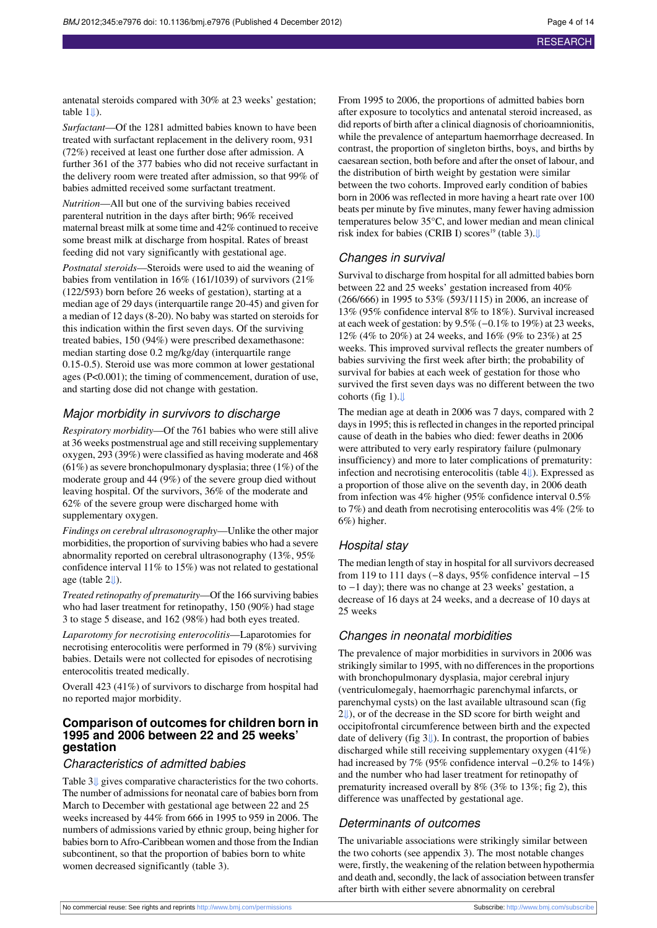antenatal steroids compared with 30% at 23 weeks' gestation; table 1[⇓\)](#page-7-0).

*Surfactant*—Of the 1281 admitted babies known to have been treated with surfactant replacement in the delivery room, 931 (72%) received at least one further dose after admission. A further 361 of the 377 babies who did not receive surfactant in the delivery room were treated after admission, so that 99% of babies admitted received some surfactant treatment.

*Nutrition*—All but one of the surviving babies received parenteral nutrition in the days after birth; 96% received maternal breast milk at some time and 42% continued to receive some breast milk at discharge from hospital. Rates of breast feeding did not vary significantly with gestational age.

*Postnatal steroids*—Steroids were used to aid the weaning of babies from ventilation in 16% (161/1039) of survivors (21% (122/593) born before 26 weeks of gestation), starting at a median age of 29 days (interquartile range 20-45) and given for a median of 12 days (8-20). No baby was started on steroids for this indication within the first seven days. Of the surviving treated babies, 150 (94%) were prescribed dexamethasone: median starting dose 0.2 mg/kg/day (interquartile range 0.15-0.5). Steroid use was more common at lower gestational ages (P<0.001); the timing of commencement, duration of use, and starting dose did not change with gestation.

#### Major morbidity in survivors to discharge

*Respiratory morbidity*—Of the 761 babies who were still alive at 36 weeks postmenstrual age and still receiving supplementary oxygen, 293 (39%) were classified as having moderate and 468  $(61%)$  as severe bronchopulmonary dysplasia; three  $(1%)$  of the moderate group and 44 (9%) of the severe group died without leaving hospital. Of the survivors, 36% of the moderate and 62% of the severe group were discharged home with supplementary oxygen.

*Findings on cerebral ultrasonography*—Unlike the other major morbidities, the proportion of surviving babies who had a severe abnormality reported on cerebral ultrasonography (13%, 95% confidence interval 11% to 15%) was not related to gestational age (table [2⇓](#page-9-0)).

*Treated retinopathy of prematurity*—Of the 166 surviving babies who had laser treatment for retinopathy, 150 (90%) had stage 3 to stage 5 disease, and 162 (98%) had both eyes treated.

*Laparotomy for necrotising enterocolitis*—Laparotomies for necrotising enterocolitis were performed in 79 (8%) surviving babies. Details were not collected for episodes of necrotising enterocolitis treated medically.

Overall 423 (41%) of survivors to discharge from hospital had no reported major morbidity.

#### **Comparison of outcomes for children born in 1995 and 2006 between 22 and 25 weeks' gestation**

#### Characteristics of admitted babies

Table 3[⇓](#page-10-0) gives comparative characteristics for the two cohorts. The number of admissions for neonatal care of babies born from March to December with gestational age between 22 and 25 weeks increased by 44% from 666 in 1995 to 959 in 2006. The numbers of admissions varied by ethnic group, being higher for babies born to Afro-Caribbean women and those from the Indian subcontinent, so that the proportion of babies born to white women decreased significantly (table 3).

From 1995 to 2006, the proportions of admitted babies born after exposure to tocolytics and antenatal steroid increased, as did reports of birth after a clinical diagnosis of chorioamnionitis, while the prevalence of antepartum haemorrhage decreased. In contrast, the proportion of singleton births, boys, and births by caesarean section, both before and after the onset of labour, and the distribution of birth weight by gestation were similar between the two cohorts. Improved early condition of babies born in 2006 was reflected in more having a heart rate over 100 beats per minute by five minutes, many fewer having admission temperatures below 35°C, and lower median and mean clinical risk index for babies (CRIB I) scores<sup>19</sup> (table 3).

#### Changes in survival

Survival to discharge from hospital for all admitted babies born between 22 and 25 weeks' gestation increased from 40% (266/666) in 1995 to 53% (593/1115) in 2006, an increase of 13% (95% confidence interval 8% to 18%). Survival increased at each week of gestation: by 9.5% (−0.1% to 19%) at 23 weeks, 12% (4% to 20%) at 24 weeks, and 16% (9% to 23%) at 25 weeks. This improved survival reflects the greater numbers of babies surviving the first week after birth; the probability of survival for babies at each week of gestation for those who survived the first seven days was no different between the two cohorts (fig 1). $\downarrow$ 

The median age at death in 2006 was 7 days, compared with 2 days in 1995; this is reflected in changes in the reported principal cause of death in the babies who died: fewer deaths in 2006 were attributed to very early respiratory failure (pulmonary insufficiency) and more to later complications of prematurity: infection and necrotising enterocolitis (table 4[⇓\)](#page-11-0). Expressed as a proportion of those alive on the seventh day, in 2006 death from infection was 4% higher (95% confidence interval 0.5% to 7%) and death from necrotising enterocolitis was 4% (2% to 6%) higher.

#### Hospital stay

The median length of stay in hospital for all survivors decreased from 119 to 111 days (−8 days, 95% confidence interval −15 to −1 day); there was no change at 23 weeks' gestation, a decrease of 16 days at 24 weeks, and a decrease of 10 days at 25 weeks

#### Changes in neonatal morbidities

The prevalence of major morbidities in survivors in 2006 was strikingly similar to 1995, with no differences in the proportions with bronchopulmonary dysplasia, major cerebral injury (ventriculomegaly, haemorrhagic parenchymal infarcts, or parenchymal cysts) on the last available ultrasound scan (fig [2⇓](#page-13-1)), or of the decrease in the SD score for birth weight and occipitofrontal circumference between birth and the expected date of delivery (fig 3[⇓\)](#page-13-2). In contrast, the proportion of babies discharged while still receiving supplementary oxygen (41%) had increased by 7% (95% confidence interval −0.2% to 14%) and the number who had laser treatment for retinopathy of prematurity increased overall by 8% (3% to 13%; fig 2), this difference was unaffected by gestational age.

#### Determinants of outcomes

The univariable associations were strikingly similar between the two cohorts (see appendix 3). The most notable changes were, firstly, the weakening of the relation between hypothermia and death and, secondly, the lack of association between transfer after birth with either severe abnormality on cerebral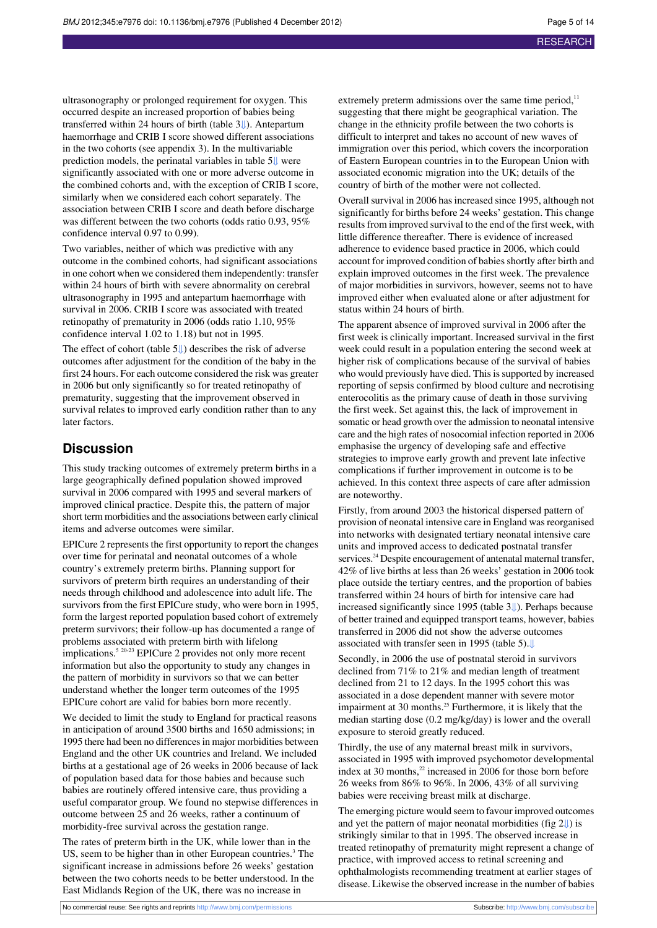ultrasonography or prolonged requirement for oxygen. This occurred despite an increased proportion of babies being transferred within 24 hours of birth (table [3⇓](#page-10-0)). Antepartum haemorrhage and CRIB I score showed different associations in the two cohorts (see appendix 3). In the multivariable prediction models, the perinatal variables in table [5⇓](#page-12-0) were significantly associated with one or more adverse outcome in the combined cohorts and, with the exception of CRIB I score, similarly when we considered each cohort separately. The association between CRIB I score and death before discharge was different between the two cohorts (odds ratio 0.93, 95% confidence interval 0.97 to 0.99).

Two variables, neither of which was predictive with any outcome in the combined cohorts, had significant associations in one cohort when we considered them independently: transfer within 24 hours of birth with severe abnormality on cerebral ultrasonography in 1995 and antepartum haemorrhage with survival in 2006. CRIB I score was associated with treated retinopathy of prematurity in 2006 (odds ratio 1.10, 95% confidence interval 1.02 to 1.18) but not in 1995.

The effect of cohort (table [5⇓](#page-12-0)) describes the risk of adverse outcomes after adjustment for the condition of the baby in the first 24 hours. For each outcome considered the risk was greater in 2006 but only significantly so for treated retinopathy of prematurity, suggesting that the improvement observed in survival relates to improved early condition rather than to any later factors.

#### **Discussion**

This study tracking outcomes of extremely preterm births in a large geographically defined population showed improved survival in 2006 compared with 1995 and several markers of improved clinical practice. Despite this, the pattern of major short term morbidities and the associations between early clinical items and adverse outcomes were similar.

EPICure 2 represents the first opportunity to report the changes over time for perinatal and neonatal outcomes of a whole country's extremely preterm births. Planning support for survivors of preterm birth requires an understanding of their needs through childhood and adolescence into adult life. The survivors from the first EPICure study, who were born in 1995, form the largest reported population based cohort of extremely preterm survivors; their follow-up has documented a range of problems associated with preterm birth with lifelong implications.<sup>5 20-23</sup> EPICure 2 provides not only more recent information but also the opportunity to study any changes in the pattern of morbidity in survivors so that we can better understand whether the longer term outcomes of the 1995 EPICure cohort are valid for babies born more recently.

We decided to limit the study to England for practical reasons in anticipation of around 3500 births and 1650 admissions; in 1995 there had been no differencesin major morbidities between England and the other UK countries and Ireland. We included births at a gestational age of 26 weeks in 2006 because of lack of population based data for those babies and because such babies are routinely offered intensive care, thus providing a useful comparator group. We found no stepwise differences in outcome between 25 and 26 weeks, rather a continuum of morbidity-free survival across the gestation range.

The rates of preterm birth in the UK, while lower than in the US, seem to be higher than in other European countries.<sup>3</sup> The significant increase in admissions before 26 weeks' gestation between the two cohorts needs to be better understood. In the East Midlands Region of the UK, there was no increase in

extremely preterm admissions over the same time period,<sup>11</sup> suggesting that there might be geographical variation. The change in the ethnicity profile between the two cohorts is difficult to interpret and takes no account of new waves of immigration over this period, which covers the incorporation of Eastern European countries in to the European Union with associated economic migration into the UK; details of the country of birth of the mother were not collected.

Overall survival in 2006 has increased since 1995, although not significantly for births before 24 weeks' gestation. This change results from improved survival to the end of the first week, with little difference thereafter. There is evidence of increased adherence to evidence based practice in 2006, which could account for improved condition of babies shortly after birth and explain improved outcomes in the first week. The prevalence of major morbidities in survivors, however, seems not to have improved either when evaluated alone or after adjustment for status within 24 hours of birth.

The apparent absence of improved survival in 2006 after the first week is clinically important. Increased survival in the first week could result in a population entering the second week at higher risk of complications because of the survival of babies who would previously have died. This is supported by increased reporting of sepsis confirmed by blood culture and necrotising enterocolitis as the primary cause of death in those surviving the first week. Set against this, the lack of improvement in somatic or head growth over the admission to neonatal intensive care and the high rates of nosocomial infection reported in 2006 emphasise the urgency of developing safe and effective strategies to improve early growth and prevent late infective complications if further improvement in outcome is to be achieved. In this context three aspects of care after admission are noteworthy.

Firstly, from around 2003 the historical dispersed pattern of provision of neonatal intensive care in England was reorganised into networks with designated tertiary neonatal intensive care units and improved access to dedicated postnatal transfer services.<sup>24</sup> Despite encouragement of antenatal maternal transfer, 42% of live births at less than 26 weeks' gestation in 2006 took place outside the tertiary centres, and the proportion of babies transferred within 24 hours of birth for intensive care had increased significantly since 1995 (table [3⇓](#page-10-0)). Perhaps because of better trained and equipped transport teams, however, babies transferred in 2006 did not show the adverse outcomes associated with transfer seen in 1995 (table 5).[⇓](#page-12-0)

Secondly, in 2006 the use of postnatal steroid in survivors declined from 71% to 21% and median length of treatment declined from 21 to 12 days. In the 1995 cohort this was associated in a dose dependent manner with severe motor impairment at 30 months. $25$  Furthermore, it is likely that the median starting dose (0.2 mg/kg/day) is lower and the overall exposure to steroid greatly reduced.

Thirdly, the use of any maternal breast milk in survivors, associated in 1995 with improved psychomotor developmental index at 30 months,<sup>22</sup> increased in 2006 for those born before 26 weeks from 86% to 96%. In 2006, 43% of all surviving babies were receiving breast milk at discharge.

The emerging picture would seem to favour improved outcomes and yet the pattern of major neonatal morbidities (fig  $2 \downarrow$ ) is strikingly similar to that in 1995. The observed increase in treated retinopathy of prematurity might represent a change of practice, with improved access to retinal screening and ophthalmologists recommending treatment at earlier stages of disease. Likewise the observed increase in the number of babies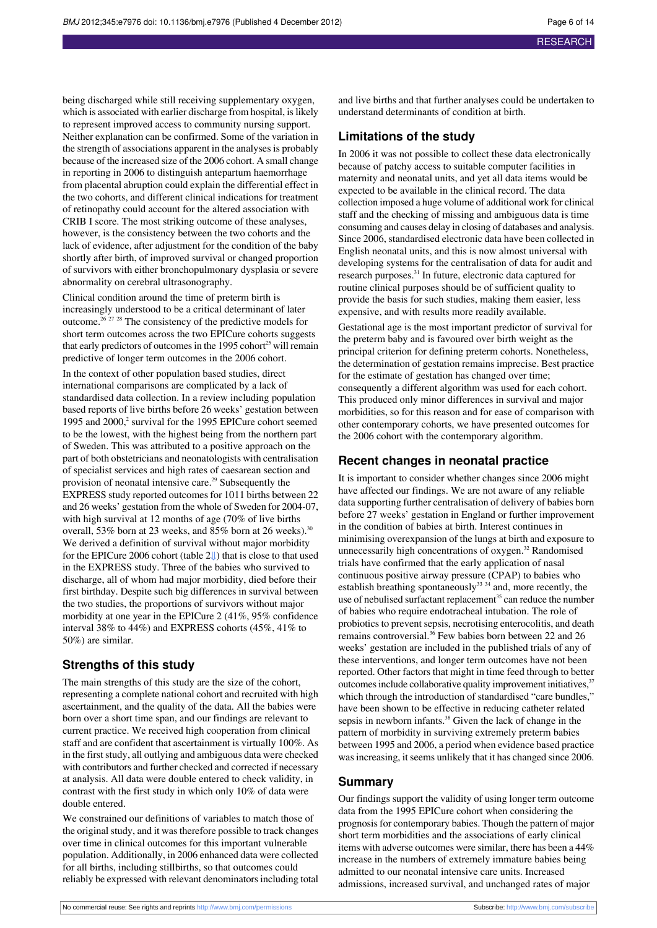being discharged while still receiving supplementary oxygen, which is associated with earlier discharge from hospital, is likely to represent improved access to community nursing support. Neither explanation can be confirmed. Some of the variation in the strength of associations apparent in the analyses is probably because of the increased size of the 2006 cohort. A small change in reporting in 2006 to distinguish antepartum haemorrhage from placental abruption could explain the differential effect in the two cohorts, and different clinical indications for treatment of retinopathy could account for the altered association with CRIB I score. The most striking outcome of these analyses, however, is the consistency between the two cohorts and the lack of evidence, after adjustment for the condition of the baby shortly after birth, of improved survival or changed proportion of survivors with either bronchopulmonary dysplasia or severe abnormality on cerebral ultrasonography.

Clinical condition around the time of preterm birth is increasingly understood to be a critical determinant of later outcome.<sup>26 27</sup> <sup>28</sup> The consistency of the predictive models for short term outcomes across the two EPICure cohorts suggests that early predictors of outcomes in the 1995 cohort<sup>25</sup> will remain predictive of longer term outcomes in the 2006 cohort.

In the context of other population based studies, direct international comparisons are complicated by a lack of standardised data collection. In a review including population based reports of live births before 26 weeks' gestation between 1995 and  $2000$ ,<sup>2</sup> survival for the 1995 EPICure cohort seemed to be the lowest, with the highest being from the northern part of Sweden. This was attributed to a positive approach on the part of both obstetricians and neonatologists with centralisation of specialist services and high rates of caesarean section and provision of neonatal intensive care.<sup>29</sup> Subsequently the EXPRESS study reported outcomes for 1011 births between 22 and 26 weeks' gestation from the whole of Sweden for 2004-07, with high survival at 12 months of age (70% of live births overall, 53% born at 23 weeks, and 85% born at 26 weeks).<sup>30</sup> We derived a definition of survival without major morbidity for the EPICure 2006 cohort (table [2⇓](#page-9-0)) that is close to that used in the EXPRESS study. Three of the babies who survived to discharge, all of whom had major morbidity, died before their first birthday. Despite such big differences in survival between the two studies, the proportions of survivors without major morbidity at one year in the EPICure 2 (41%, 95% confidence interval 38% to 44%) and EXPRESS cohorts (45%, 41% to 50%) are similar.

#### **Strengths of this study**

The main strengths of this study are the size of the cohort, representing a complete national cohort and recruited with high ascertainment, and the quality of the data. All the babies were born over a short time span, and our findings are relevant to current practice. We received high cooperation from clinical staff and are confident that ascertainment is virtually 100%. As in the first study, all outlying and ambiguous data were checked with contributors and further checked and corrected if necessary at analysis. All data were double entered to check validity, in contrast with the first study in which only 10% of data were double entered.

We constrained our definitions of variables to match those of the original study, and it was therefore possible to track changes over time in clinical outcomes for this important vulnerable population. Additionally, in 2006 enhanced data were collected for all births, including stillbirths, so that outcomes could reliably be expressed with relevant denominatorsincluding total and live births and that further analyses could be undertaken to understand determinants of condition at birth.

#### **Limitations of the study**

In 2006 it was not possible to collect these data electronically because of patchy access to suitable computer facilities in maternity and neonatal units, and yet all data items would be expected to be available in the clinical record. The data collection imposed a huge volume of additional work for clinical staff and the checking of missing and ambiguous data is time consuming and causes delay in closing of databases and analysis. Since 2006, standardised electronic data have been collected in English neonatal units, and this is now almost universal with developing systems for the centralisation of data for audit and research purposes.<sup>31</sup> In future, electronic data captured for routine clinical purposes should be of sufficient quality to provide the basis for such studies, making them easier, less expensive, and with results more readily available.

Gestational age is the most important predictor of survival for the preterm baby and is favoured over birth weight as the principal criterion for defining preterm cohorts. Nonetheless, the determination of gestation remains imprecise. Best practice for the estimate of gestation has changed over time; consequently a different algorithm was used for each cohort. This produced only minor differences in survival and major morbidities, so for this reason and for ease of comparison with other contemporary cohorts, we have presented outcomes for the 2006 cohort with the contemporary algorithm.

#### **Recent changes in neonatal practice**

It is important to consider whether changes since 2006 might have affected our findings. We are not aware of any reliable data supporting further centralisation of delivery of babies born before 27 weeks' gestation in England or further improvement in the condition of babies at birth. Interest continues in minimising overexpansion of the lungs at birth and exposure to unnecessarily high concentrations of oxygen.<sup>32</sup> Randomised trials have confirmed that the early application of nasal continuous positive airway pressure (CPAP) to babies who establish breathing spontaneously<sup>33 34</sup> and, more recently, the use of nebulised surfactant replacement<sup>35</sup> can reduce the number of babies who require endotracheal intubation. The role of probiotics to prevent sepsis, necrotising enterocolitis, and death remains controversial.<sup>36</sup> Few babies born between 22 and 26 weeks' gestation are included in the published trials of any of these interventions, and longer term outcomes have not been reported. Other factors that might in time feed through to better outcomes include collaborative quality improvement initiatives,<sup>37</sup> which through the introduction of standardised "care bundles," have been shown to be effective in reducing catheter related sepsis in newborn infants.<sup>38</sup> Given the lack of change in the pattern of morbidity in surviving extremely preterm babies between 1995 and 2006, a period when evidence based practice was increasing, it seems unlikely that it has changed since 2006.

#### **Summary**

Our findings support the validity of using longer term outcome data from the 1995 EPICure cohort when considering the prognosis for contemporary babies. Though the pattern of major short term morbidities and the associations of early clinical items with adverse outcomes were similar, there has been a 44% increase in the numbers of extremely immature babies being admitted to our neonatal intensive care units. Increased admissions, increased survival, and unchanged rates of major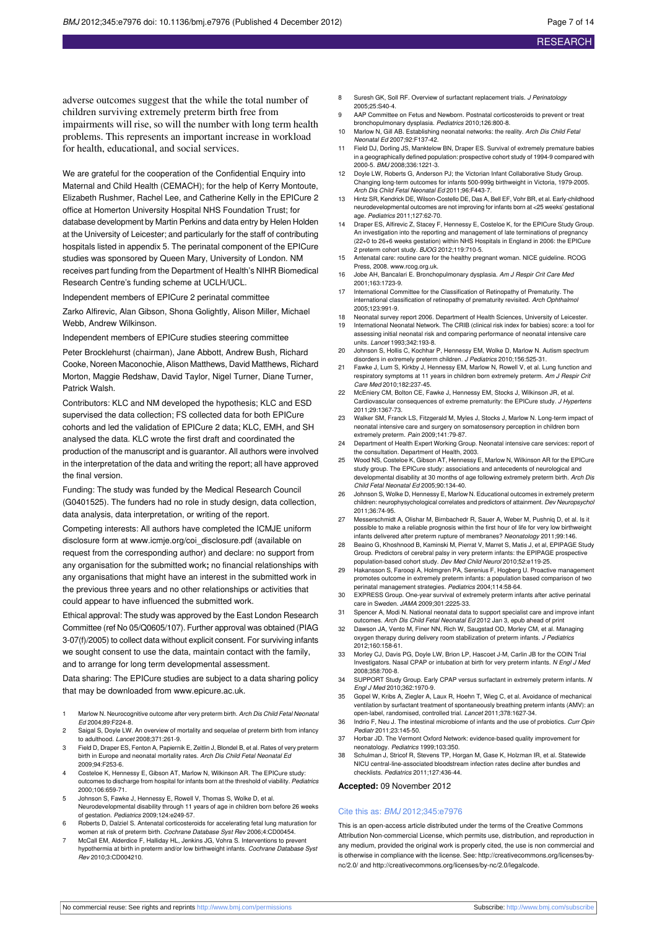adverse outcomes suggest that the while the total number of children surviving extremely preterm birth free from impairments will rise, so will the number with long term health problems. This represents an important increase in workload for health, educational, and social services.

We are grateful for the cooperation of the Confidential Enquiry into Maternal and Child Health (CEMACH); for the help of Kerry Montoute, Elizabeth Rushmer, Rachel Lee, and Catherine Kelly in the EPICure 2 office at Homerton University Hospital NHS Foundation Trust; for database development by Martin Perkins and data entry by Helen Holden at the University of Leicester; and particularly for the staff of contributing hospitals listed in appendix 5. The perinatal component of the EPICure studies was sponsored by Queen Mary, University of London. NM receives part funding from the Department of Health's NIHR Biomedical Research Centre's funding scheme at UCLH/UCL.

Independent members of EPICure 2 perinatal committee

Zarko Alfirevic, Alan Gibson, Shona Golightly, Alison Miller, Michael Webb, Andrew Wilkinson.

Independent members of EPICure studies steering committee

Peter Brocklehurst (chairman), Jane Abbott, Andrew Bush, Richard Cooke, Noreen Maconochie, Alison Matthews, David Matthews, Richard Morton, Maggie Redshaw, David Taylor, Nigel Turner, Diane Turner, Patrick Walsh.

Contributors: KLC and NM developed the hypothesis; KLC and ESD supervised the data collection; FS collected data for both EPICure cohorts and led the validation of EPICure 2 data; KLC, EMH, and SH analysed the data. KLC wrote the first draft and coordinated the production of the manuscript and is guarantor. All authors were involved in the interpretation of the data and writing the report; all have approved the final version.

Funding: The study was funded by the Medical Research Council (G0401525). The funders had no role in study design, data collection, data analysis, data interpretation, or writing of the report.

Competing interests: All authors have completed the ICMJE uniform disclosure form at [www.icmje.org/coi\\_disclosure.pdf](http://www.icmje.org/coi_disclosure.pdf) (available on request from the corresponding author) and declare: no support from any organisation for the submitted work**;** no financial relationships with any organisations that might have an interest in the submitted work in the previous three years and no other relationships or activities that could appear to have influenced the submitted work.

Ethical approval: The study was approved by the East London Research Committee (ref No 05/Q0605/107). Further approval was obtained (PIAG 3-07(f)/2005) to collect data without explicit consent. For surviving infants we sought consent to use the data, maintain contact with the family, and to arrange for long term developmental assessment.

Data sharing: The EPICure studies are subject to a data sharing policy that may be downloaded from [www.epicure.ac.uk](http://www.epicure.ac.uk/).

- Marlow N. Neurocognitive outcome after very preterm birth. Arch Dis Child Fetal Neonatal Ed 2004;89:F224-8.
- 2 Saigal S, Doyle LW. An overview of mortality and sequelae of preterm birth from infancy to adulthood. Lancet 2008;371:261-9.
- Field D, Draper ES, Fenton A, Papiernik E, Zeitlin J, Blondel B, et al. Rates of very pre birth in Europe and neonatal mortality rates. Arch Dis Child Fetal Neonatal Ed 2009;94:F253-6.
- Costeloe K, Hennessy E, Gibson AT, Marlow N, Wilkinson AR. The EPICure study: outcomes to discharge from hospital for infants born at the threshold of viability. Pediatrics 2000;106:659-71.
- Johnson S, Fawke J, Hennessy E, Rowell V, Thomas S, Wolke D, et al. Neurodevelopmental disability through 11 years of age in children born before 26 weeks of gestation. Pediatrics 2009;124:e249-57.
- 6 Roberts D, Dalziel S. Antenatal corticosteroids for accelerating fetal lung maturation for women at risk of preterm birth. Cochrane Database Syst Rev 2006;4:CD00454.
- McCall EM, Alderdice F, Halliday HL, Jenkins JG, Vohra S. Interventions to prevent hypothermia at birth in preterm and/or low birthweight infants. Cochrane Database Syst Rev 2010;3:CD004210.
- 8 Suresh GK, Soll RF. Overview of surfactant replacement trials. J Perinatology 2005;25:S40-4.
- AAP Committee on Fetus and Newborn. Postnatal corticosteroids to prevent or treat bronchopulmonary dysplasia. Pediatrics 2010;126:800-8.
- 10 Marlow N, Gill AB. Establishing neonatal networks: the reality. Arch Dis Child Fetal Neonatal Ed 2007;92:F137-42.
- 11 Field DJ, Dorling JS, Manktelow BN, Draper ES. Survival of extremely premature babies in a geographically defined population: prospective cohort study of 1994-9 compared with 2000-5. BMJ 2008;336:1221-3.
- 12 Doyle LW, Roberts G, Anderson PJ; the Victorian Infant Collaborative Study Group. Changing long-term outcomes for infants 500-999g birthweight in Victoria, 1979-2005. Arch Dis Child Fetal Neonatal Ed 2011;96:F443-7.
- 13 Hintz SR, Kendrick DE, Wilson-Costello DE, Das A, Bell EF, Vohr BR, et al. Early-childhood neurodevelopmental outcomes are not improving for infants born at <25 weeks' gestational age. Pediatrics 2011;127:62-70.
- 14 Draper ES, Alfirevic Z, Stacey F, Hennessy E, Costeloe K, for the EPICure Study Group. An investigation into the reporting and management of late terminations of pregnancy (22+0 to 26+6 weeks gestation) within NHS Hospitals in England in 2006: the EPICure 2 preterm cohort study. BJOG 2012;119:710-5.
- 15 Antenatal care: routine care for the healthy pregnant woman. NICE guideline. RCOG Press, 2008. [www.rcog.org.uk.](http://www.rcog.org.uk)
- 16 Jobe AH, Bancalari E. Bronchopulmonary dysplasia. Am J Respir Crit Care Med 2001;163:1723-9.
- 17 International Committee for the Classification of Retinopathy of Prematurity. The international classification of retinopathy of prematurity revisited. Arch Ophthalmo. 2005;123:991-9.
- 18 Neonatal survey report 2006. Department of Health Sciences, University of Leicester.
- 19 International Neonatal Network. The CRIB (clinical risk index for babies) score: a tool for assessing initial neonatal risk and comparing performance of neonatal intensive care units. Lancet 1993;342:193-8.
- 20 Johnson S, Hollis C, Kochhar P, Hennessy EM, Wolke D, Marlow N. Autism spectrum disorders in extremely preterm children. J Pediatrics 2010;156:525-31.
- Fawke J, Lum S, Kirkby J, Hennessy EM, Marlow N, Rowell V, et al. Lung function and respiratory symptoms at 11 years in children born extremely preterm. Am J Respir Crit Care Med 2010;182:237-45.
- McEniery CM, Bolton CE, Fawke J, Hennessy EM, Stocks J, Wilkinson JR, et al. Cardiovascular consequences of extreme prematurity: the EPICure study. J Hypertens 2011;29:1367-73.
- 23 Walker SM, Franck LS, Fitzgerald M, Myles J, Stocks J, Marlow N. Long-term impact of neonatal intensive care and surgery on somatosensory perception in children born extremely preterm. Pain 2009;141:79-87.
- 24 Department of Health Expert Working Group. Neonatal intensive care services: report of the consultation. Department of Health, 2003.
- 25 Wood NS, Costeloe K, Gibson AT, Hennessy E, Marlow N, Wilkinson AR for the EPICure study group. The EPICure study: associations and antecedents of neurological and developmental disability at 30 months of age following extremely preterm birth. Arch Dis Child Fetal Neonatal Ed 2005;90:134-40.
- 26 Johnson S, Wolke D, Hennessy E, Marlow N. Educational outcomes in extremely prete children: neurophysychological correlates and predictors of attainment. Dev Neuropsychol 2011;36:74-95.
- 27 Messerschmidt A, Olishar M, Birnbachedr R, Sauer A, Weber M, Pushnig D, et al. Is it possible to make a reliable prognosis within the first hour of life for very low birthweight infants delivered after preterm rupture of membranes? Neonatology 2011;99:146.
- 28 Beaino G, Khoshnood B, Kaminski M, Pierrat V, Marret S, Matis J, et al, EPIPAGE Study Group. Predictors of cerebral palsy in very preterm infants: the EPIPAGE prospective population-based cohort study. Dev Med Child Neurol 2010;52:e119-25.
- 29 Hakansson S, Farooqi A, Holmgren PA, Serenius F, Hogberg U. Proactive management promotes outcome in extremely preterm infants: a population based comparison of two perinatal management strategies. Pediatrics 2004;114:58-64.
- 30 EXPRESS Group. One-year survival of extremely preterm infants after active perinatal care in Sweden. JAMA 2009;301:2225-33.
- 31 Spencer A, Modi N. National neonatal data to support specialist care and improve infant outcomes. Arch Dis Child Fetal Neonatal Ed 2012 Jan 3, epub ahead of print
- 32 Dawson JA, Vento M, Finer NN, Rich W, Saugstad OD, Morley CM, et al. Managing oxygen therapy during delivery room stabilization of preterm infants. J Pediatrics 2012;160:158-61.
- 33 Morley CJ, Davis PG, Doyle LW, Brion LP, Hascoet J-M, Carlin JB for the COIN Trial Investigators. Nasal CPAP or intubation at birth for very preterm infants. N Engl J Med 2008;358:700-8.
- 34 SUPPORT Study Group. Early CPAP versus surfactant in extremely preterm infants. N Engl J Med 2010;362:1970-9.
- 35 Gopel W, Kribs A, Ziegler A, Laux R, Hoehn T, Wieg C, et al. Avoidance of mechanical ventilation by surfactant treatment of spontaneously breathing preterm infants (AMV): an open-label, randomised, controlled trial. Lancet 2011;378:1627-34.
- 36 Indrio F, Neu J. The intestinal microbiome of infants and the use of probiotics. Curr Opin Pediatr 2011;23:145-50.
- 37 Horbar JD. The Vermont Oxford Network: evidence-based quality improvement for neonatology. Pediatrics 1999;103:350.
- 38 Schulman J, Stricof R, Stevens TP, Horgan M, Gase K, Holzman IR, et al. Statewide NICU central-line-associated bloodstream infection rates decline after bundles and checklists. Pediatrics 2011;127:436-44.

**Accepted:** 09 November 2012

#### Cite this as: BMJ 2012;345:e7976

This is an open-access article distributed under the terms of the Creative Commons Attribution Non-commercial License, which permits use, distribution, and reproduction in any medium, provided the original work is properly cited, the use is non commercial and is otherwise in compliance with the license. See: [http://creativecommons.org/licenses/by](http://creativecommons.org/licenses/by-nc/2.0/)[nc/2.0/](http://creativecommons.org/licenses/by-nc/2.0/) and <http://creativecommons.org/licenses/by-nc/2.0/legalcode>.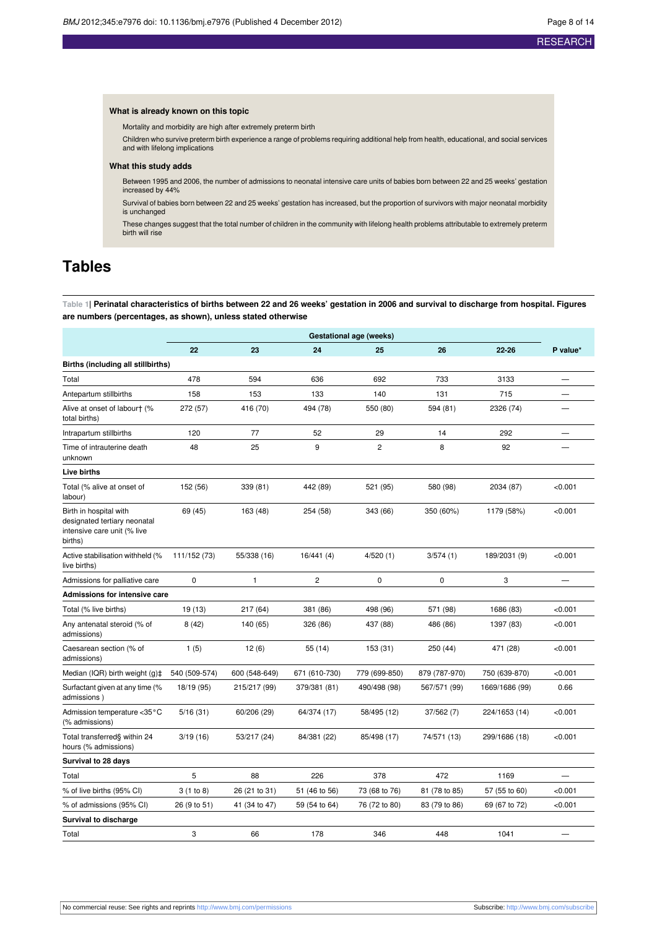#### **What is already known on this topic**

Mortality and morbidity are high after extremely preterm birth

Children who survive preterm birth experience a range of problems requiring additional help from health, educational, and social services and with lifelong implications

#### **What this study adds**

Between 1995 and 2006, the number of admissions to neonatal intensive care units of babies born between 22 and 25 weeks' gestation increased by 44%

Survival of babies born between 22 and 25 weeks' gestation has increased, but the proportion of survivors with major neonatal morbidity is unchanged

These changes suggest that the total number of children in the community with lifelong health problems attributable to extremely preterm birth will rise

## <span id="page-7-0"></span>**Tables**

Table 1| Perinatal characteristics of births between 22 and 26 weeks' gestation in 2006 and survival to discharge from hospital. Figures **are numbers (percentages, as shown), unless stated otherwise**

|                                                                                                  |               |               |                | Gestational age (weeks) |               |                |          |
|--------------------------------------------------------------------------------------------------|---------------|---------------|----------------|-------------------------|---------------|----------------|----------|
|                                                                                                  | 22            | 23            | 24             | 25                      | 26            | 22-26          | P value* |
| Births (including all stillbirths)                                                               |               |               |                |                         |               |                |          |
| Total                                                                                            | 478           | 594           | 636            | 692                     | 733           | 3133           |          |
| Antepartum stillbirths                                                                           | 158           | 153           | 133            | 140                     | 131           | 715            |          |
| Alive at onset of labour† (%<br>total births)                                                    | 272 (57)      | 416 (70)      | 494 (78)       | 550 (80)                | 594 (81)      | 2326 (74)      |          |
| Intrapartum stillbirths                                                                          | 120           | 77            | 52             | 29                      | 14            | 292            |          |
| Time of intrauterine death<br>unknown                                                            | 48            | 25            | 9              | $\overline{2}$          | 8             | 92             |          |
| <b>Live births</b>                                                                               |               |               |                |                         |               |                |          |
| Total (% alive at onset of<br>labour)                                                            | 152 (56)      | 339 (81)      | 442 (89)       | 521 (95)                | 580 (98)      | 2034 (87)      | < 0.001  |
| Birth in hospital with<br>designated tertiary neonatal<br>intensive care unit (% live<br>births) | 69 (45)       | 163 (48)      | 254 (58)       | 343 (66)                | 350 (60%)     | 1179 (58%)     | < 0.001  |
| Active stabilisation withheld (%<br>live births)                                                 | 111/152 (73)  | 55/338 (16)   | 16/441(4)      | 4/520(1)                | 3/574(1)      | 189/2031 (9)   | < 0.001  |
| Admissions for palliative care                                                                   | 0             | $\mathbf{1}$  | $\overline{2}$ | $\mathbf 0$             | $\mathbf 0$   | 3              |          |
| <b>Admissions for intensive care</b>                                                             |               |               |                |                         |               |                |          |
| Total (% live births)                                                                            | 19 (13)       | 217(64)       | 381 (86)       | 498 (96)                | 571 (98)      | 1686 (83)      | < 0.001  |
| Any antenatal steroid (% of<br>admissions)                                                       | 8(42)         | 140 (65)      | 326 (86)       | 437 (88)                | 486 (86)      | 1397 (83)      | < 0.001  |
| Caesarean section (% of<br>admissions)                                                           | 1(5)          | 12(6)         | 55 (14)        | 153 (31)                | 250 (44)      | 471 (28)       | < 0.001  |
| Median (IQR) birth weight $(q)$ <sup><math>\ddagger</math></sup>                                 | 540 (509-574) | 600 (548-649) | 671 (610-730)  | 779 (699-850)           | 879 (787-970) | 750 (639-870)  | < 0.001  |
| Surfactant given at any time (%<br>admissions)                                                   | 18/19 (95)    | 215/217 (99)  | 379/381 (81)   | 490/498 (98)            | 567/571 (99)  | 1669/1686 (99) | 0.66     |
| Admission temperature <35°C<br>(% admissions)                                                    | 5/16(31)      | 60/206 (29)   | 64/374 (17)    | 58/495 (12)             | 37/562 (7)    | 224/1653 (14)  | < 0.001  |
| Total transferred§ within 24<br>hours (% admissions)                                             | 3/19(16)      | 53/217 (24)   | 84/381 (22)    | 85/498 (17)             | 74/571 (13)   | 299/1686 (18)  | < 0.001  |
| Survival to 28 days                                                                              |               |               |                |                         |               |                |          |
| Total                                                                                            | 5             | 88            | 226            | 378                     | 472           | 1169           |          |
| % of live births (95% CI)                                                                        | 3(1 to 8)     | 26 (21 to 31) | 51 (46 to 56)  | 73 (68 to 76)           | 81 (78 to 85) | 57 (55 to 60)  | < 0.001  |
| % of admissions (95% CI)                                                                         | 26 (9 to 51)  | 41 (34 to 47) | 59 (54 to 64)  | 76 (72 to 80)           | 83 (79 to 86) | 69 (67 to 72)  | < 0.001  |
| Survival to discharge                                                                            |               |               |                |                         |               |                |          |
| Total                                                                                            | 3             | 66            | 178            | 346                     | 448           | 1041           |          |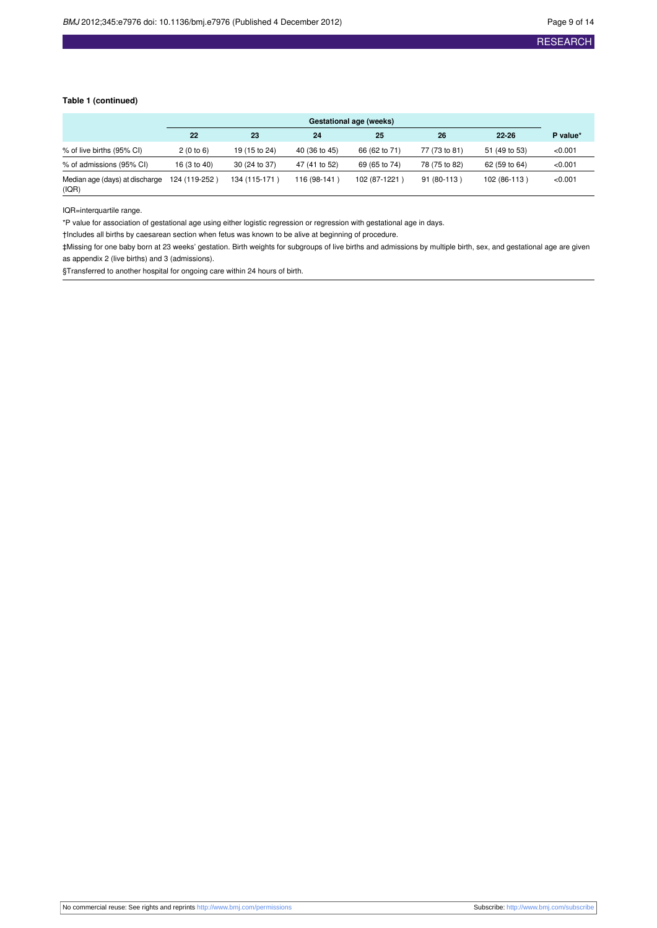#### **Table 1 (continued)**

|                                         | Gestational age (weeks) |               |               |               |               |               |          |
|-----------------------------------------|-------------------------|---------------|---------------|---------------|---------------|---------------|----------|
|                                         | 22                      | 23            | 24            | 25            | 26            | $22 - 26$     | P value* |
| % of live births (95% CI)               | 2(0 to 6)               | 19 (15 to 24) | 40 (36 to 45) | 66 (62 to 71) | 77 (73 to 81) | 51 (49 to 53) | < 0.001  |
| % of admissions (95% CI)                | 16 (3 to 40)            | 30 (24 to 37) | 47 (41 to 52) | 69 (65 to 74) | 78 (75 to 82) | 62 (59 to 64) | < 0.001  |
| Median age (days) at discharge<br>(IQR) | 124 (119-252)           | 134 (115-171) | 116 (98-141)  | 102 (87-1221) | $91(80-113)$  | 102 (86-113)  | < 0.001  |

IQR=interquartile range.

\*P value for association of gestational age using either logistic regression or regression with gestational age in days.

†Includes all births by caesarean section when fetus was known to be alive at beginning of procedure.

‡Missing for one baby born at 23 weeks' gestation. Birth weights for subgroups of live births and admissions by multiple birth, sex, and gestational age are given as appendix 2 (live births) and 3 (admissions).

§Transferred to another hospital for ongoing care within 24 hours of birth.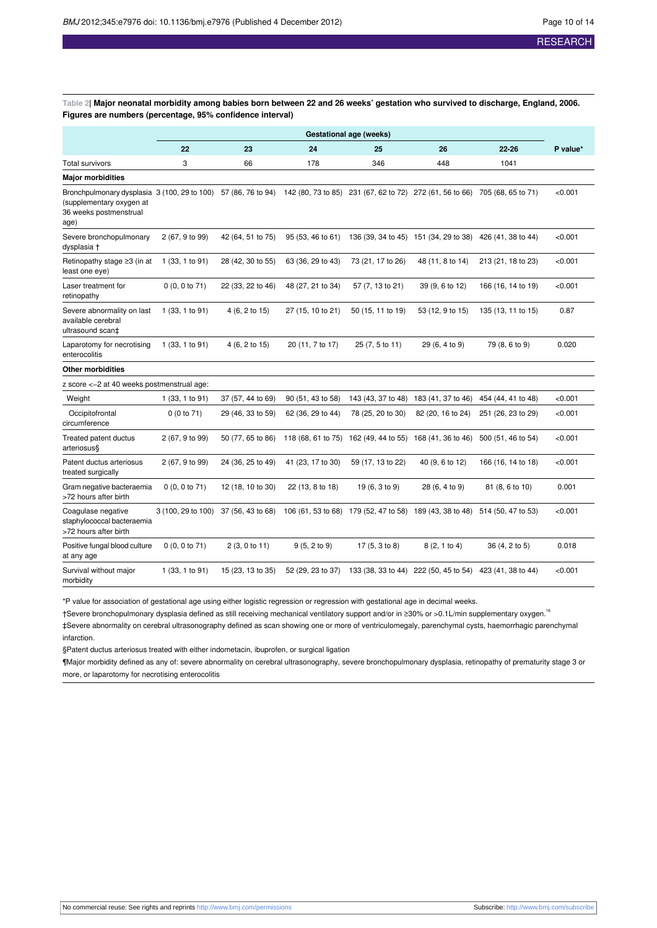<span id="page-9-0"></span>Table 2| Major neonatal morbidity among babies born between 22 and 26 weeks' gestation who survived to discharge, England, 2006. **Figures are numbers (percentage, 95% confidence interval)**

|                                                                                                                                                                                                          | <b>Gestational age (weeks)</b> |                                      |                   |                                                                             |                                                          |                    |          |
|----------------------------------------------------------------------------------------------------------------------------------------------------------------------------------------------------------|--------------------------------|--------------------------------------|-------------------|-----------------------------------------------------------------------------|----------------------------------------------------------|--------------------|----------|
|                                                                                                                                                                                                          | 22                             | 23                                   | 24                | 25                                                                          | 26                                                       | $22 - 26$          | P value* |
| <b>Total survivors</b>                                                                                                                                                                                   | 3                              | 66                                   | 178               | 346                                                                         | 448                                                      | 1041               |          |
| <b>Major morbidities</b>                                                                                                                                                                                 |                                |                                      |                   |                                                                             |                                                          |                    |          |
| Bronchpulmonary dysplasia 3 (100, 29 to 100) 57 (86, 76 to 94) 142 (80, 73 to 85) 231 (67, 62 to 72) 272 (61, 56 to 66) 705 (68, 65 to 71)<br>(supplementary oxygen at<br>36 weeks postmenstrual<br>age) |                                |                                      |                   |                                                                             |                                                          |                    | < 0.001  |
| Severe bronchopulmonary<br>dysplasia †                                                                                                                                                                   | 2 (67, 9 to 99)                | 42 (64, 51 to 75)                    | 95 (53, 46 to 61) |                                                                             | 136 (39, 34 to 45) 151 (34, 29 to 38) 426 (41, 38 to 44) |                    | < 0.001  |
| Retinopathy stage $\geq$ 3 (in at<br>least one eye)                                                                                                                                                      | 1 (33, 1 to 91)                | 28 (42, 30 to 55)                    | 63 (36, 29 to 43) | 73 (21, 17 to 26)                                                           | 48 (11, 8 to 14)                                         | 213 (21, 18 to 23) | < 0.001  |
| Laser treatment for<br>retinopathy                                                                                                                                                                       | 0(0, 0 to 71)                  | 22 (33, 22 to 46)                    | 48 (27, 21 to 34) | 57 (7, 13 to 21)                                                            | 39 (9, 6 to 12)                                          | 166 (16, 14 to 19) | < 0.001  |
| Severe abnormality on last<br>available cerebral<br>ultrasound scan‡                                                                                                                                     | 1 (33, 1 to 91)                | 4 (6, 2 to 15)                       | 27 (15, 10 to 21) | 50 (15, 11 to 19)                                                           | 53 (12, 9 to 15)                                         | 135 (13, 11 to 15) | 0.87     |
| Laparotomy for necrotising<br>enterocolitis                                                                                                                                                              | 1 (33, 1 to 91)                | 4 (6, 2 to 15)                       | 20 (11, 7 to 17)  | 25 (7, 5 to 11)                                                             | 29 (6, 4 to 9)                                           | 79 (8, 6 to 9)     | 0.020    |
| <b>Other morbidities</b>                                                                                                                                                                                 |                                |                                      |                   |                                                                             |                                                          |                    |          |
| z score <- 2 at 40 weeks postmenstrual age:                                                                                                                                                              |                                |                                      |                   |                                                                             |                                                          |                    |          |
| Weight                                                                                                                                                                                                   | 1 (33, 1 to 91)                | 37 (57, 44 to 69)                    | 90 (51, 43 to 58) | 143 (43, 37 to 48)                                                          | 183 (41, 37 to 46)                                       | 454 (44, 41 to 48) | < 0.001  |
| Occipitofrontal<br>circumference                                                                                                                                                                         | 0(0 to 71)                     | 29 (46, 33 to 59)                    | 62 (36, 29 to 44) | 78 (25, 20 to 30)                                                           | 82 (20, 16 to 24)                                        | 251 (26, 23 to 29) | < 0.001  |
| Treated patent ductus<br>arteriosus§                                                                                                                                                                     | 2 (67, 9 to 99)                | 50 (77, 65 to 86)                    |                   | 118 (68, 61 to 75) 162 (49, 44 to 55) 168 (41, 36 to 46)                    |                                                          | 500 (51, 46 to 54) | < 0.001  |
| Patent ductus arteriosus<br>treated surgically                                                                                                                                                           | 2 (67, 9 to 99)                | 24 (36, 25 to 49)                    | 41 (23, 17 to 30) | 59 (17, 13 to 22)                                                           | 40 (9, 6 to 12)                                          | 166 (16, 14 to 18) | < 0.001  |
| Gram negative bacteraemia<br>>72 hours after birth                                                                                                                                                       | 0(0, 0 to 71)                  | 12 (18, 10 to 30)                    | 22 (13, 8 to 18)  | 19 (6, 3 to 9)                                                              | 28 (6, 4 to 9)                                           | 81 (8, 6 to 10)    | 0.001    |
| Coagulase negative<br>staphylococcal bacteraemia<br>>72 hours after birth                                                                                                                                |                                | 3 (100, 29 to 100) 37 (56, 43 to 68) |                   | 106 (61, 53 to 68) 179 (52, 47 to 58) 189 (43, 38 to 48) 514 (50, 47 to 53) |                                                          |                    | < 0.001  |
| Positive fungal blood culture<br>at any age                                                                                                                                                              | 0(0, 0 to 71)                  | 2 (3, 0 to 11)                       | 9(5, 2 to 9)      | 17 (5, 3 to 8)                                                              | 8 (2, 1 to 4)                                            | 36 (4, 2 to 5)     | 0.018    |
| Survival without major<br>morbidity                                                                                                                                                                      | 1 (33, 1 to 91)                | 15 (23, 13 to 35)                    | 52 (29, 23 to 37) |                                                                             | 133 (38, 33 to 44) 222 (50, 45 to 54) 423 (41, 38 to 44) |                    | < 0.001  |

\*P value for association of gestational age using either logistic regression or regression with gestational age in decimal weeks.

†Severe bronchopulmonary dysplasia defined as still receiving mechanical ventilatory support and/or in ≥30% or >0.1L/min supplementary oxygen. <sup>it</sup> ‡Severe abnormality on cerebral ultrasonography defined as scan showing one or more of ventriculomegaly, parenchymal cysts, haemorrhagic parenchymal infarction.

§Patent ductus arteriosus treated with either indometacin, ibuprofen, or surgical ligation

¶Major morbidity defined as any of: severe abnormality on cerebral ultrasonography, severe bronchopulmonary dysplasia, retinopathy of prematurity stage 3 or more, or laparotomy for necrotising enterocolitis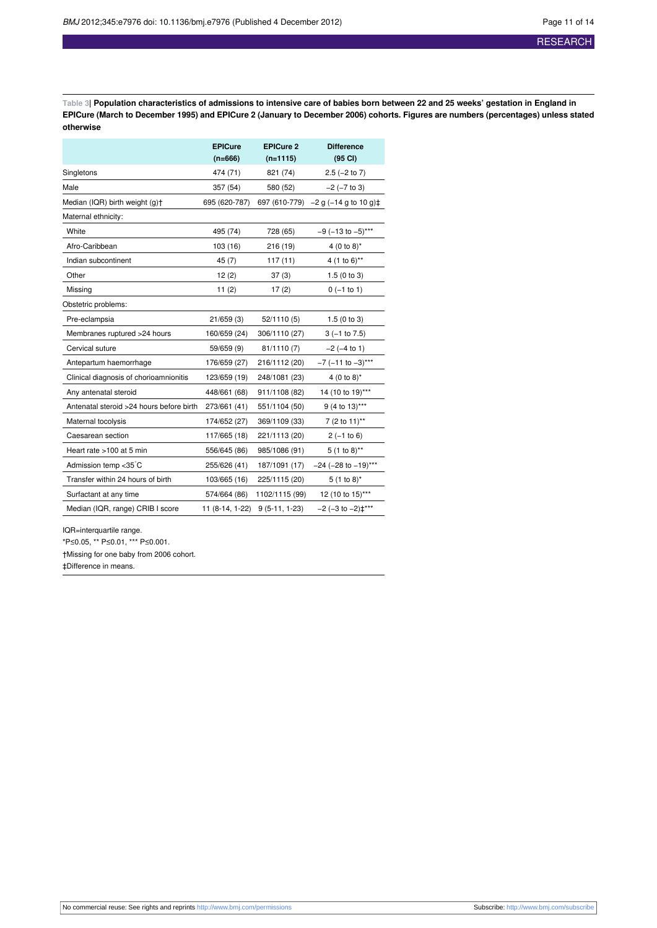<span id="page-10-0"></span>Table 3| Population characteristics of admissions to intensive care of babies born between 22 and 25 weeks' gestation in England in EPICure (March to December 1995) and EPICure 2 (January to December 2006) cohorts. Figures are numbers (percentages) unless stated **otherwise**

|                                          | <b>EPICure</b>  | <b>EPICure 2</b> | <b>Difference</b>                    |
|------------------------------------------|-----------------|------------------|--------------------------------------|
|                                          | $(n=666)$       | $(n=1115)$       | $(95 \text{ CI})$                    |
| Singletons                               | 474 (71)        | 821 (74)         | $2.5$ ( $-2$ to $7$ )                |
| Male                                     | 357 (54)        | 580 (52)         | $-2$ ( $-7$ to 3)                    |
| Median (IQR) birth weight (g)+           | 695 (620-787)   |                  | 697 (610-779) $-2 g (-14 g to 10 g)$ |
| Maternal ethnicity:                      |                 |                  |                                      |
| White                                    | 495 (74)        | 728 (65)         | $-9$ (-13 to $-5$ )***               |
| Afro-Caribbean                           | 103 (16)        | 216 (19)         | 4 (0 to 8) $*$                       |
| Indian subcontinent                      | 45(7)           | 117 (11)         | 4 (1 to 6)**                         |
| Other                                    | 12(2)           | 37(3)            | 1.5(0 to 3)                          |
| Missing                                  | 11(2)           | 17(2)            | $0$ (-1 to 1)                        |
| Obstetric problems:                      |                 |                  |                                      |
| Pre-eclampsia                            | 21/659(3)       | 52/1110(5)       | 1.5(0 to 3)                          |
| Membranes ruptured >24 hours             | 160/659 (24)    | 306/1110 (27)    | $3(-1)$ to $7.5$ )                   |
| Cervical suture                          | 59/659 (9)      | 81/1110 (7)      | $-2$ ( $-4$ to 1)                    |
| Antepartum haemorrhage                   | 176/659 (27)    | 216/1112 (20)    | $-7$ (-11 to $-3$ )***               |
| Clinical diagnosis of chorioamnionitis   | 123/659 (19)    | 248/1081 (23)    | 4 (0 to 8)*                          |
| Any antenatal steroid                    | 448/661 (68)    | 911/1108 (82)    | 14 (10 to 19)***                     |
| Antenatal steroid >24 hours before birth | 273/661 (41)    | 551/1104 (50)    | 9 (4 to 13)***                       |
| Maternal tocolysis                       | 174/652 (27)    | 369/1109 (33)    | 7 (2 to $11$ )**                     |
| Caesarean section                        | 117/665 (18)    | 221/1113 (20)    | $2(-1 to 6)$                         |
| Heart rate >100 at 5 min                 | 556/645 (86)    | 985/1086 (91)    | $5(1 to 8)$ **                       |
| Admission temp <35°C                     | 255/626 (41)    | 187/1091 (17)    | $-24$ (-28 to $-19$ )***             |
| Transfer within 24 hours of birth        | 103/665 (16)    | 225/1115 (20)    | $5(1 to 8)^*$                        |
| Surfactant at any time                   | 574/664 (86)    | 1102/1115 (99)   | 12 (10 to 15)***                     |
| Median (IQR, range) CRIB I score         | 11 (8-14, 1-22) | $9(5-11, 1-23)$  | $-2$ ( $-3$ to $-2$ ) $\pm***$       |

IQR=interquartile range. \*P≤0.05, \*\* P≤0.01, \*\*\* P≤0.001. †Missing for one baby from 2006 cohort. ‡Difference in means.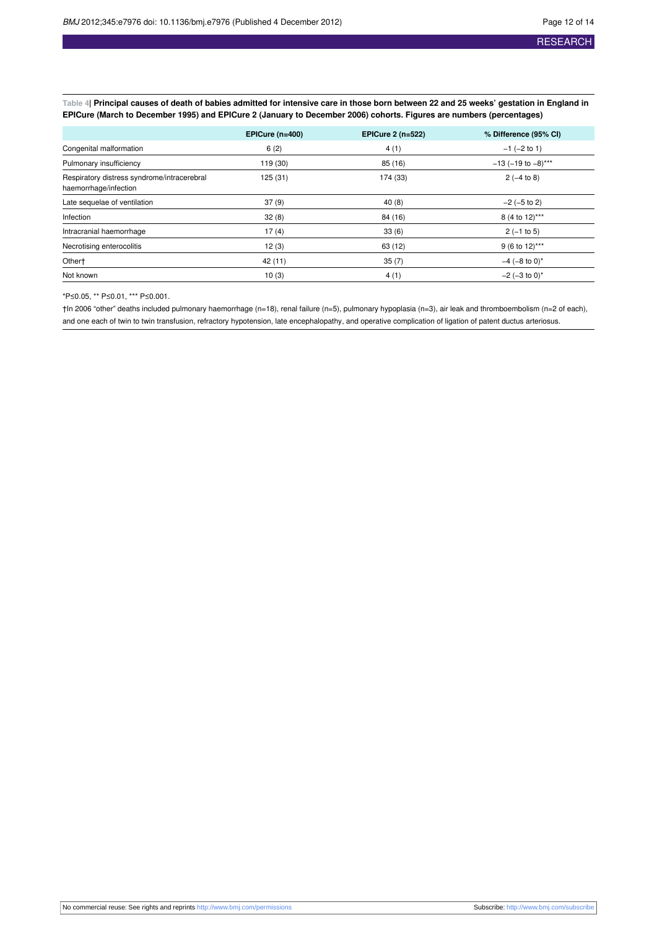<span id="page-11-0"></span>Table 4| Principal causes of death of babies admitted for intensive care in those born between 22 and 25 weeks' gestation in England in EPICure (March to December 1995) and EPICure 2 (January to December 2006) cohorts. Figures are numbers (percentages)

|                                                                      | EPICure $(n=400)$ | <b>EPICure 2 (n=522)</b> | % Difference (95% CI)     |
|----------------------------------------------------------------------|-------------------|--------------------------|---------------------------|
| Congenital malformation                                              | 6(2)              | 4(1)                     | $-1$ ( $-2$ to 1)         |
| Pulmonary insufficiency                                              | 119 (30)          | 85 (16)                  | $-13$ (-19 to $-8$ )***   |
| Respiratory distress syndrome/intracerebral<br>haemorrhage/infection | 125 (31)          | 174 (33)                 | $2(-4 to 8)$              |
| Late sequelae of ventilation                                         | 37(9)             | 40(8)                    | $-2$ ( $-5$ to 2)         |
| Infection                                                            | 32(8)             | 84 (16)                  | 8 (4 to 12)***            |
| Intracranial haemorrhage                                             | 17(4)             | 33(6)                    | $2(-1 to 5)$              |
| Necrotising enterocolitis                                            | 12(3)             | 63 (12)                  | $9(6 \text{ to } 12)$ *** |
| Other†                                                               | 42 (11)           | 35(7)                    | $-4$ (-8 to 0)*           |
| Not known                                                            | 10(3)             | 4(1)                     | $-2$ (-3 to 0)*           |

\*P≤0.05, \*\* P≤0.01, \*\*\* P≤0.001.

†In 2006 "other" deaths included pulmonary haemorrhage (n=18), renal failure (n=5), pulmonary hypoplasia (n=3), air leak and thromboembolism (n=2 of each), and one each of twin to twin transfusion, refractory hypotension, late encephalopathy, and operative complication of ligation of patent ductus arteriosus.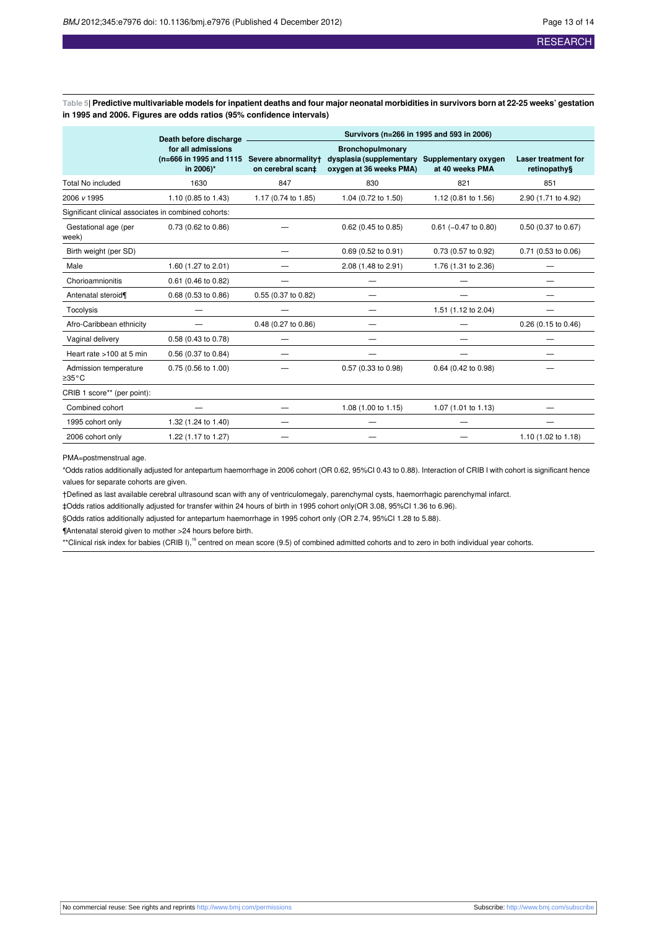<span id="page-12-0"></span>Table 5| Predictive multivariable models for inpatient deaths and four major neonatal morbidities in survivors born at 22-25 weeks' gestation **in 1995 and 2006. Figures are odds ratios (95% confidence intervals)**

|                                                      | Death before discharge                                     | Survivors (n=266 in 1995 and 593 in 2006) |                                                                                |                                         |                                            |  |  |  |
|------------------------------------------------------|------------------------------------------------------------|-------------------------------------------|--------------------------------------------------------------------------------|-----------------------------------------|--------------------------------------------|--|--|--|
|                                                      | for all admissions<br>(n=666 in 1995 and 1115<br>in 2006)* | Severe abnormality+<br>on cerebral scan‡  | <b>Bronchopulmonary</b><br>dysplasia (supplementary<br>oxygen at 36 weeks PMA) | Supplementary oxygen<br>at 40 weeks PMA | <b>Laser treatment for</b><br>retinopathy§ |  |  |  |
| <b>Total No included</b>                             | 1630                                                       | 847                                       | 830                                                                            | 821                                     | 851                                        |  |  |  |
| 2006 v 1995                                          | 1.10 (0.85 to 1.43)                                        | 1.17 (0.74 to 1.85)                       | 1.04 (0.72 to 1.50)                                                            | 1.12 (0.81 to 1.56)                     | 2.90 (1.71 to 4.92)                        |  |  |  |
| Significant clinical associates in combined cohorts: |                                                            |                                           |                                                                                |                                         |                                            |  |  |  |
| Gestational age (per<br>week)                        | 0.73 (0.62 to 0.86)                                        |                                           | 0.62 (0.45 to 0.85)                                                            | $0.61$ (-0.47 to 0.80)                  | 0.50 (0.37 to 0.67)                        |  |  |  |
| Birth weight (per SD)                                |                                                            |                                           | $0.69$ (0.52 to 0.91)                                                          | 0.73 (0.57 to 0.92)                     | 0.71 (0.53 to 0.06)                        |  |  |  |
| Male                                                 | 1.60 (1.27 to 2.01)                                        |                                           | 2.08 (1.48 to 2.91)                                                            | 1.76 (1.31 to 2.36)                     |                                            |  |  |  |
| Chorioamnionitis                                     | $0.61$ (0.46 to 0.82)                                      |                                           |                                                                                |                                         |                                            |  |  |  |
| Antenatal steroid¶                                   | $0.68$ (0.53 to 0.86)                                      | 0.55 (0.37 to 0.82)                       |                                                                                |                                         |                                            |  |  |  |
| <b>Tocolysis</b>                                     |                                                            |                                           |                                                                                | 1.51 (1.12 to 2.04)                     |                                            |  |  |  |
| Afro-Caribbean ethnicity                             |                                                            | 0.48 (0.27 to 0.86)                       |                                                                                |                                         | 0.26 (0.15 to 0.46)                        |  |  |  |
| Vaginal delivery                                     | 0.58 (0.43 to 0.78)                                        |                                           |                                                                                |                                         |                                            |  |  |  |
| Heart rate >100 at 5 min                             | 0.56 (0.37 to 0.84)                                        |                                           |                                                                                |                                         |                                            |  |  |  |
| Admission temperature<br>$\geq 35^{\circ}$ C         | 0.75 (0.56 to 1.00)                                        |                                           | 0.57 (0.33 to 0.98)                                                            | 0.64 (0.42 to 0.98)                     |                                            |  |  |  |
| CRIB 1 score** (per point):                          |                                                            |                                           |                                                                                |                                         |                                            |  |  |  |
| Combined cohort                                      |                                                            |                                           | 1.08 (1.00 to 1.15)                                                            | 1.07 (1.01 to 1.13)                     |                                            |  |  |  |
| 1995 cohort only                                     | 1.32 (1.24 to 1.40)                                        |                                           |                                                                                |                                         |                                            |  |  |  |
| 2006 cohort only                                     | 1.22 (1.17 to 1.27)                                        |                                           |                                                                                |                                         | 1.10 (1.02 to 1.18)                        |  |  |  |

PMA=postmenstrual age.

\*Odds ratios additionally adjusted for antepartum haemorrhage in 2006 cohort (OR 0.62, 95%CI 0.43 to 0.88). Interaction of CRIB I with cohort is significant hence values for separate cohorts are given.

†Defined as last available cerebral ultrasound scan with any of ventriculomegaly, parenchymal cysts, haemorrhagic parenchymal infarct.

‡Odds ratios additionally adjusted for transfer within 24 hours of birth in 1995 cohort only(OR 3.08, 95%CI 1.36 to 6.96).

§Odds ratios additionally adjusted for antepartum haemorrhage in 1995 cohort only (OR 2.74, 95%CI 1.28 to 5.88).

¶Antenatal steroid given to mother >24 hours before birth.

\*\*Clinical risk index for babies (CRIB I),<sup>19</sup> centred on mean score (9.5) of combined admitted cohorts and to zero in both individual year cohorts.